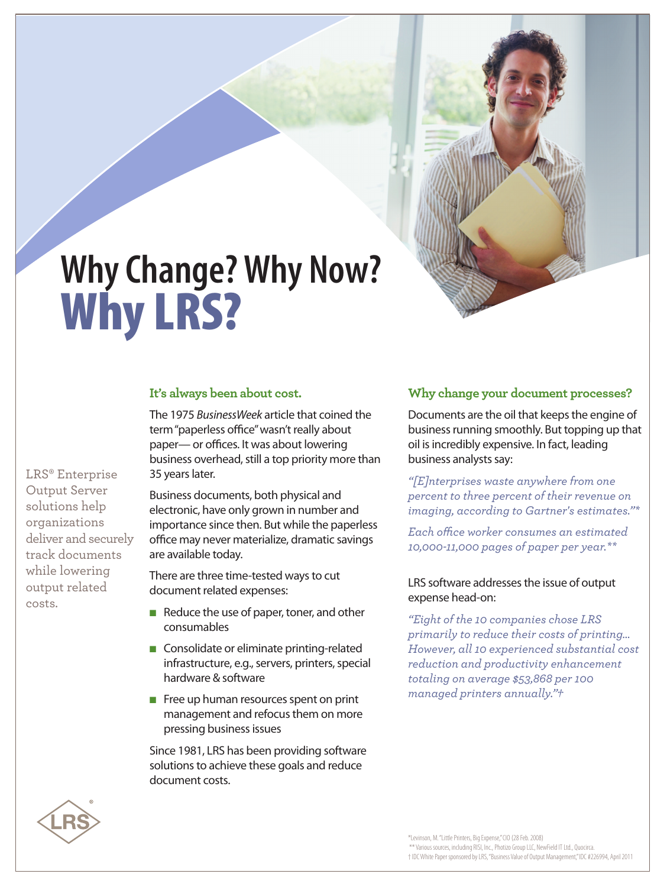# **WhyChange?Why Now? Why LRS?**

#### **It's always been about cost.**

The 1975 *BusinessWeek* article that coined the term"paperless office"wasn't really about paper— or offices. It was about lowering business overhead, still a top priority more than 35 years later.

Business documents, both physical and electronic, have only grown in number and importance since then. But while the paperless office may never materialize, dramatic savings are available today.

There are three time-tested ways to cut document related expenses:

- Reduce the use of paper, toner, and other consumables
- Consolidate or eliminate printing-related infrastructure, e.g., servers, printers, special hardware & software
- Free up human resources spent on print management and refocus them on more pressing businessissues

Since 1981, LRS has been providing software solutions to achieve these goals and reduce document costs.

# **Why change your document processes?**

Documents are the oil that keeps the engine of business running smoothly. But topping up that oil is incredibly expensive. In fact, leading business analysts say:

*"[E]nterprises waste anywhere from one percent to three percent of their revenue on imaging, according to Gartner's estimates."\**

*Each office worker consumes an estimated 10,000-11,000 pages of paper per year.\*\**

#### LRS software addresses the issue of output expense head-on:

*"Eight of the 10 companies chose LRS primarily to reduce their costs of printing… However, all 10 experienced substantial cost reduction and productivity enhancement totaling on average \$53,868 per 100 managed printers annually.Ӡ*



costs.

\*Levinson, M."LittlePrinters,BigExpense,"CIO (28Feb.2008) \*\* Various sources, includingRISI, Inc.,Photizo GroupLLC, NewFieldITLtd., Quocirca. †IDCWhitePaper sponsoredbyLRS,"Business Valueof Output Management,"IDC#226994, April2011

LRS® Enterprise Output Server solutions help organizations deliver and securely track documents while lowering output related